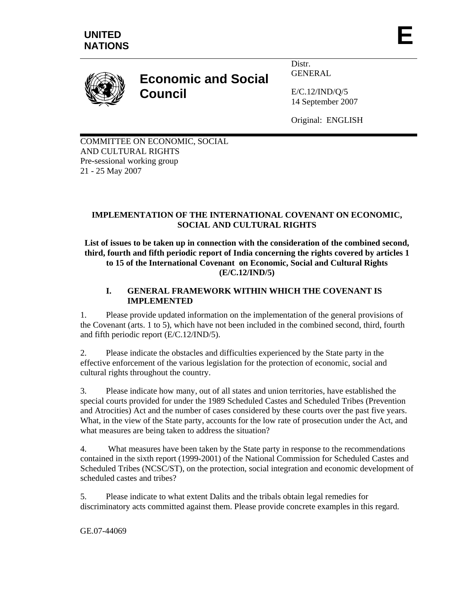

# **Economic and Social Council**

Distr. GENERAL

E/C.12/IND/Q/5 14 September 2007

Original: ENGLISH

COMMITTEE ON ECONOMIC, SOCIAL AND CULTURAL RIGHTS Pre-sessional working group 21 - 25 May 2007

# **IMPLEMENTATION OF THE INTERNATIONAL COVENANT ON ECONOMIC, SOCIAL AND CULTURAL RIGHTS**

**List of issues to be taken up in connection with the consideration of the combined second, third, fourth and fifth periodic report of India concerning the rights covered by articles 1 to 15 of the International Covenant on Economic, Social and Cultural Rights (E/C.12/IND/5)** 

## **I. GENERAL FRAMEWORK WITHIN WHICH THE COVENANT IS IMPLEMENTED**

1. Please provide updated information on the implementation of the general provisions of the Covenant (arts. 1 to 5), which have not been included in the combined second, third, fourth and fifth periodic report (E/C.12/IND/5).

2. Please indicate the obstacles and difficulties experienced by the State party in the effective enforcement of the various legislation for the protection of economic, social and cultural rights throughout the country.

3. Please indicate how many, out of all states and union territories, have established the special courts provided for under the 1989 Scheduled Castes and Scheduled Tribes (Prevention and Atrocities) Act and the number of cases considered by these courts over the past five years. What, in the view of the State party, accounts for the low rate of prosecution under the Act, and what measures are being taken to address the situation?

4. What measures have been taken by the State party in response to the recommendations contained in the sixth report (1999-2001) of the National Commission for Scheduled Castes and Scheduled Tribes (NCSC/ST), on the protection, social integration and economic development of scheduled castes and tribes?

5. Please indicate to what extent Dalits and the tribals obtain legal remedies for discriminatory acts committed against them. Please provide concrete examples in this regard.

GE.07-44069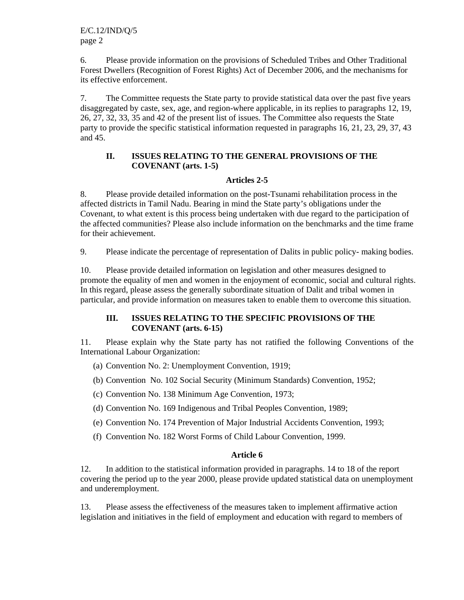6. Please provide information on the provisions of Scheduled Tribes and Other Traditional Forest Dwellers (Recognition of Forest Rights) Act of December 2006, and the mechanisms for its effective enforcement.

7. The Committee requests the State party to provide statistical data over the past five years disaggregated by caste, sex, age, and region-where applicable, in its replies to paragraphs 12, 19, 26, 27, 32, 33, 35 and 42 of the present list of issues. The Committee also requests the State party to provide the specific statistical information requested in paragraphs 16, 21, 23, 29, 37, 43 and 45.

## **II. ISSUES RELATING TO THE GENERAL PROVISIONS OF THE COVENANT (arts. 1-5)**

## **Articles 2-5**

8. Please provide detailed information on the post-Tsunami rehabilitation process in the affected districts in Tamil Nadu. Bearing in mind the State party's obligations under the Covenant, to what extent is this process being undertaken with due regard to the participation of the affected communities? Please also include information on the benchmarks and the time frame for their achievement.

9. Please indicate the percentage of representation of Dalits in public policy- making bodies.

10. Please provide detailed information on legislation and other measures designed to promote the equality of men and women in the enjoyment of economic, social and cultural rights. In this regard, please assess the generally subordinate situation of Dalit and tribal women in particular, and provide information on measures taken to enable them to overcome this situation.

## **III. ISSUES RELATING TO THE SPECIFIC PROVISIONS OF THE COVENANT (arts. 6-15)**

11. Please explain why the State party has not ratified the following Conventions of the International Labour Organization:

- (a) Convention No. 2: Unemployment Convention, 1919;
- (b) Convention No. 102 Social Security (Minimum Standards) Convention, 1952;
- (c) Convention No. 138 Minimum Age Convention, 1973;
- (d) Convention No. 169 Indigenous and Tribal Peoples Convention, 1989;
- (e) Convention No. 174 Prevention of Major Industrial Accidents Convention, 1993;
- (f) Convention No. 182 Worst Forms of Child Labour Convention, 1999.

#### **Article 6**

12. In addition to the statistical information provided in paragraphs. 14 to 18 of the report covering the period up to the year 2000, please provide updated statistical data on unemployment and underemployment.

13. Please assess the effectiveness of the measures taken to implement affirmative action legislation and initiatives in the field of employment and education with regard to members of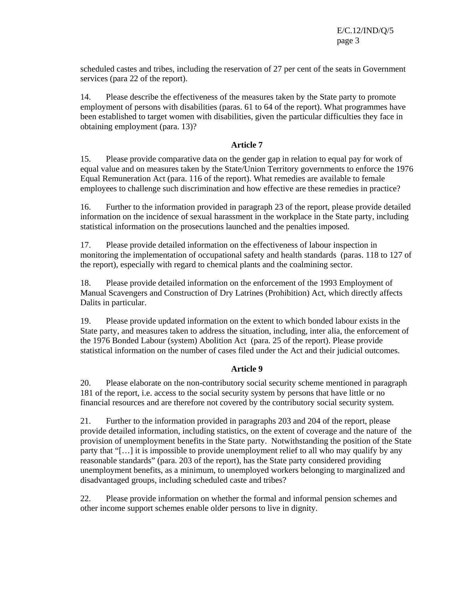E/C.12/IND/Q/5 page 3

scheduled castes and tribes, including the reservation of 27 per cent of the seats in Government services (para 22 of the report).

14. Please describe the effectiveness of the measures taken by the State party to promote employment of persons with disabilities (paras. 61 to 64 of the report). What programmes have been established to target women with disabilities, given the particular difficulties they face in obtaining employment (para. 13)?

#### **Article 7**

15. Please provide comparative data on the gender gap in relation to equal pay for work of equal value and on measures taken by the State/Union Territory governments to enforce the 1976 Equal Remuneration Act (para. 116 of the report). What remedies are available to female employees to challenge such discrimination and how effective are these remedies in practice?

16. Further to the information provided in paragraph 23 of the report, please provide detailed information on the incidence of sexual harassment in the workplace in the State party, including statistical information on the prosecutions launched and the penalties imposed.

17. Please provide detailed information on the effectiveness of labour inspection in monitoring the implementation of occupational safety and health standards (paras. 118 to 127 of the report), especially with regard to chemical plants and the coalmining sector.

18. Please provide detailed information on the enforcement of the 1993 Employment of Manual Scavengers and Construction of Dry Latrines (Prohibition) Act, which directly affects Dalits in particular.

19. Please provide updated information on the extent to which bonded labour exists in the State party, and measures taken to address the situation, including, inter alia, the enforcement of the 1976 Bonded Labour (system) Abolition Act (para. 25 of the report). Please provide statistical information on the number of cases filed under the Act and their judicial outcomes.

## **Article 9**

20. Please elaborate on the non-contributory social security scheme mentioned in paragraph 181 of the report, i.e. access to the social security system by persons that have little or no financial resources and are therefore not covered by the contributory social security system.

21. Further to the information provided in paragraphs 203 and 204 of the report, please provide detailed information, including statistics, on the extent of coverage and the nature of the provision of unemployment benefits in the State party. Notwithstanding the position of the State party that "[…] it is impossible to provide unemployment relief to all who may qualify by any reasonable standards" (para. 203 of the report), has the State party considered providing unemployment benefits, as a minimum, to unemployed workers belonging to marginalized and disadvantaged groups, including scheduled caste and tribes?

22. Please provide information on whether the formal and informal pension schemes and other income support schemes enable older persons to live in dignity.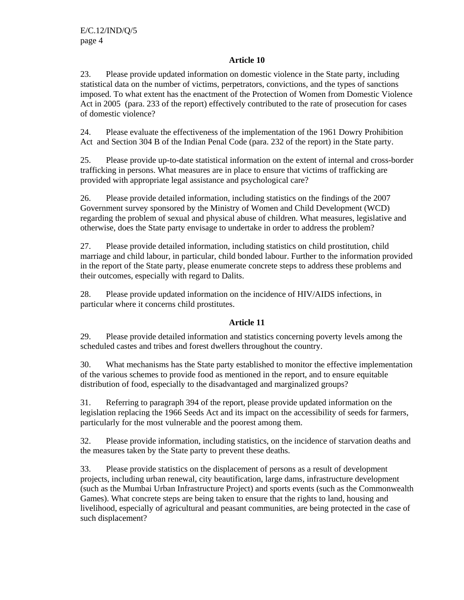## **Article 10**

23. Please provide updated information on domestic violence in the State party, including statistical data on the number of victims, perpetrators, convictions, and the types of sanctions imposed. To what extent has the enactment of the Protection of Women from Domestic Violence Act in 2005 (para. 233 of the report) effectively contributed to the rate of prosecution for cases of domestic violence?

24. Please evaluate the effectiveness of the implementation of the 1961 Dowry Prohibition Act and Section 304 B of the Indian Penal Code (para. 232 of the report) in the State party.

25. Please provide up-to-date statistical information on the extent of internal and cross-border trafficking in persons. What measures are in place to ensure that victims of trafficking are provided with appropriate legal assistance and psychological care?

26. Please provide detailed information, including statistics on the findings of the 2007 Government survey sponsored by the Ministry of Women and Child Development (WCD) regarding the problem of sexual and physical abuse of children. What measures, legislative and otherwise, does the State party envisage to undertake in order to address the problem?

27. Please provide detailed information, including statistics on child prostitution, child marriage and child labour, in particular, child bonded labour. Further to the information provided in the report of the State party, please enumerate concrete steps to address these problems and their outcomes, especially with regard to Dalits.

28. Please provide updated information on the incidence of HIV/AIDS infections, in particular where it concerns child prostitutes.

## **Article 11**

29. Please provide detailed information and statistics concerning poverty levels among the scheduled castes and tribes and forest dwellers throughout the country.

30. What mechanisms has the State party established to monitor the effective implementation of the various schemes to provide food as mentioned in the report, and to ensure equitable distribution of food, especially to the disadvantaged and marginalized groups?

31. Referring to paragraph 394 of the report, please provide updated information on the legislation replacing the 1966 Seeds Act and its impact on the accessibility of seeds for farmers, particularly for the most vulnerable and the poorest among them.

32. Please provide information, including statistics, on the incidence of starvation deaths and the measures taken by the State party to prevent these deaths.

33. Please provide statistics on the displacement of persons as a result of development projects, including urban renewal, city beautification, large dams, infrastructure development (such as the Mumbai Urban Infrastructure Project) and sports events (such as the Commonwealth Games). What concrete steps are being taken to ensure that the rights to land, housing and livelihood, especially of agricultural and peasant communities, are being protected in the case of such displacement?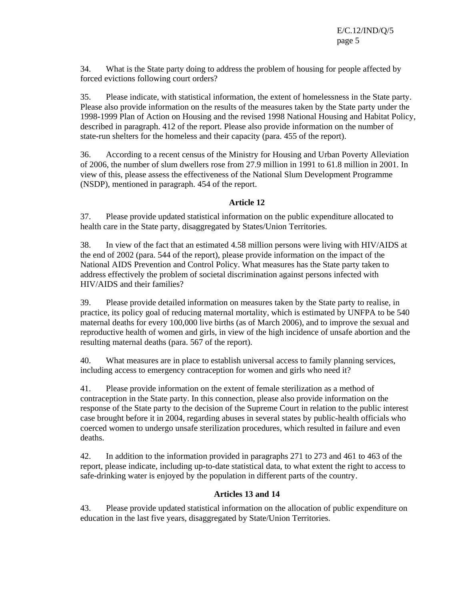34. What is the State party doing to address the problem of housing for people affected by forced evictions following court orders?

35. Please indicate, with statistical information, the extent of homelessness in the State party. Please also provide information on the results of the measures taken by the State party under the 1998-1999 Plan of Action on Housing and the revised 1998 National Housing and Habitat Policy, described in paragraph. 412 of the report. Please also provide information on the number of state-run shelters for the homeless and their capacity (para. 455 of the report).

36. According to a recent census of the Ministry for Housing and Urban Poverty Alleviation of 2006, the number of slum dwellers rose from 27.9 million in 1991 to 61.8 million in 2001. In view of this, please assess the effectiveness of the National Slum Development Programme (NSDP), mentioned in paragraph. 454 of the report.

## **Article 12**

37. Please provide updated statistical information on the public expenditure allocated to health care in the State party, disaggregated by States/Union Territories.

38. In view of the fact that an estimated 4.58 million persons were living with HIV/AIDS at the end of 2002 (para. 544 of the report), please provide information on the impact of the National AIDS Prevention and Control Policy. What measures has the State party taken to address effectively the problem of societal discrimination against persons infected with HIV/AIDS and their families?

39. Please provide detailed information on measures taken by the State party to realise, in practice, its policy goal of reducing maternal mortality, which is estimated by UNFPA to be 540 maternal deaths for every 100,000 live births (as of March 2006), and to improve the sexual and reproductive health of women and girls, in view of the high incidence of unsafe abortion and the resulting maternal deaths (para. 567 of the report).

40. What measures are in place to establish universal access to family planning services, including access to emergency contraception for women and girls who need it?

41. Please provide information on the extent of female sterilization as a method of contraception in the State party. In this connection, please also provide information on the response of the State party to the decision of the Supreme Court in relation to the public interest case brought before it in 2004, regarding abuses in several states by public-health officials who coerced women to undergo unsafe sterilization procedures, which resulted in failure and even deaths.

42. In addition to the information provided in paragraphs 271 to 273 and 461 to 463 of the report, please indicate, including up-to-date statistical data, to what extent the right to access to safe-drinking water is enjoyed by the population in different parts of the country.

## **Articles 13 and 14**

43. Please provide updated statistical information on the allocation of public expenditure on education in the last five years, disaggregated by State/Union Territories.